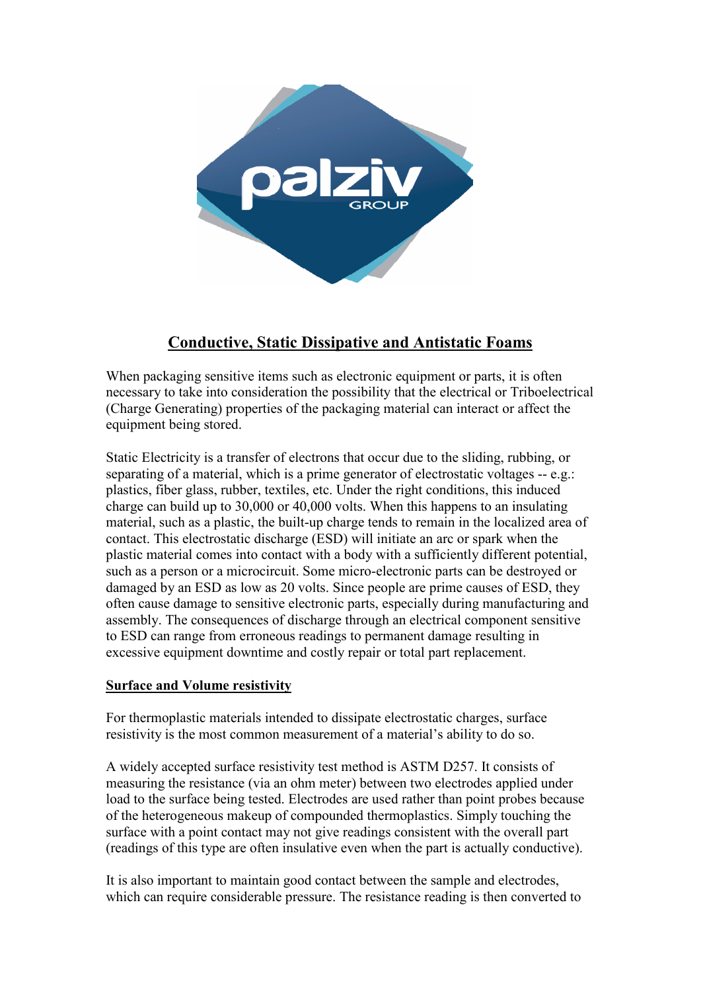

# **Conductive, Static Dissipative and Antistatic Foams**

When packaging sensitive items such as electronic equipment or parts, it is often necessary to take into consideration the possibility that the electrical or Triboelectrical (Charge Generating) properties of the packaging material can interact or affect the equipment being stored.

Static Electricity is a transfer of electrons that occur due to the sliding, rubbing, or separating of a material, which is a prime generator of electrostatic voltages -- e.g.: plastics, fiber glass, rubber, textiles, etc. Under the right conditions, this induced charge can build up to 30,000 or 40,000 volts. When this happens to an insulating material, such as a plastic, the built-up charge tends to remain in the localized area of contact. This electrostatic discharge (ESD) will initiate an arc or spark when the plastic material comes into contact with a body with a sufficiently different potential, such as a person or a microcircuit. Some micro-electronic parts can be destroyed or damaged by an ESD as low as 20 volts. Since people are prime causes of ESD, they often cause damage to sensitive electronic parts, especially during manufacturing and assembly. The consequences of discharge through an electrical component sensitive to ESD can range from erroneous readings to permanent damage resulting in excessive equipment downtime and costly repair or total part replacement.

### **Surface and Volume resistivity**

For thermoplastic materials intended to dissipate electrostatic charges, surface resistivity is the most common measurement of a material's ability to do so.

A widely accepted surface resistivity test method is ASTM D257. It consists of measuring the resistance (via an ohm meter) between two electrodes applied under load to the surface being tested. Electrodes are used rather than point probes because of the heterogeneous makeup of compounded thermoplastics. Simply touching the surface with a point contact may not give readings consistent with the overall part (readings of this type are often insulative even when the part is actually conductive).

It is also important to maintain good contact between the sample and electrodes, which can require considerable pressure. The resistance reading is then converted to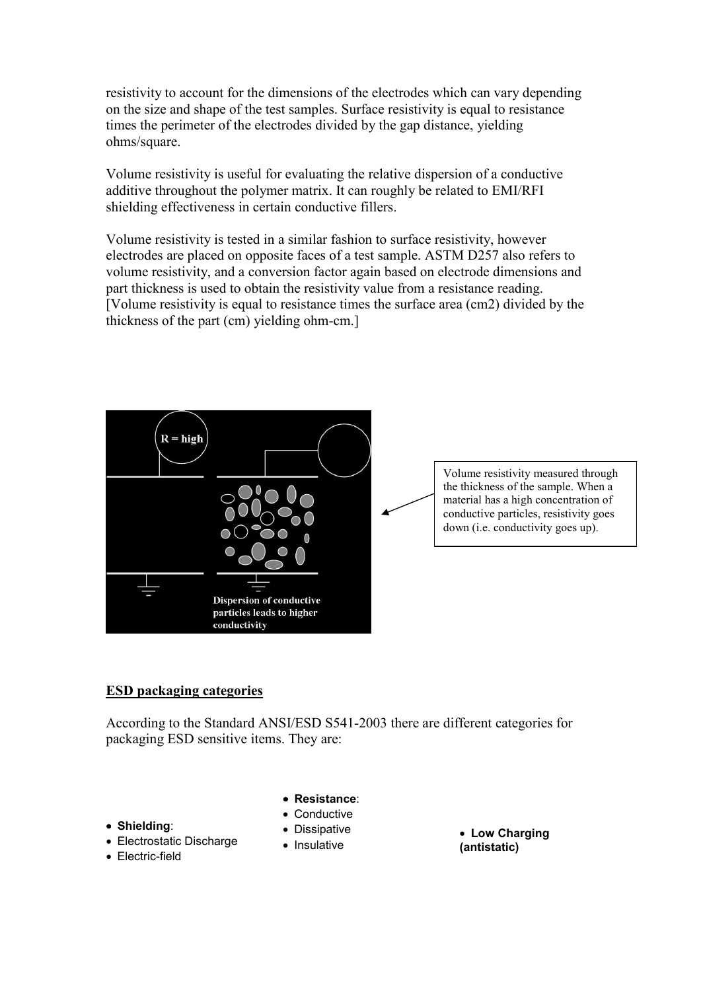resistivity to account for the dimensions of the electrodes which can vary depending on the size and shape of the test samples. Surface resistivity is equal to resistance times the perimeter of the electrodes divided by the gap distance, yielding ohms/square.

Volume resistivity is useful for evaluating the relative dispersion of a conductive additive throughout the polymer matrix. It can roughly be related to EMI/RFI shielding effectiveness in certain conductive fillers.

Volume resistivity is tested in a similar fashion to surface resistivity, however electrodes are placed on opposite faces of a test sample. ASTM D257 also refers to volume resistivity, and a conversion factor again based on electrode dimensions and part thickness is used to obtain the resistivity value from a resistance reading. [Volume resistivity is equal to resistance times the surface area (cm2) divided by the thickness of the part (cm) yielding ohm-cm.]



Volume resistivity measured through the thickness of the sample. When a material has a high concentration of conductive particles, resistivity goes down (i.e. conductivity goes up).

#### **ESD packaging categories**

According to the Standard ANSI/ESD S541-2003 there are different categories for packaging ESD sensitive items. They are:

- **Resistance**:
- Conductive
	- Dissipative
- Electrostatic Discharge
- Electric-field

• **Shielding**:

- 
- Insulative

• **Low Charging (antistatic)**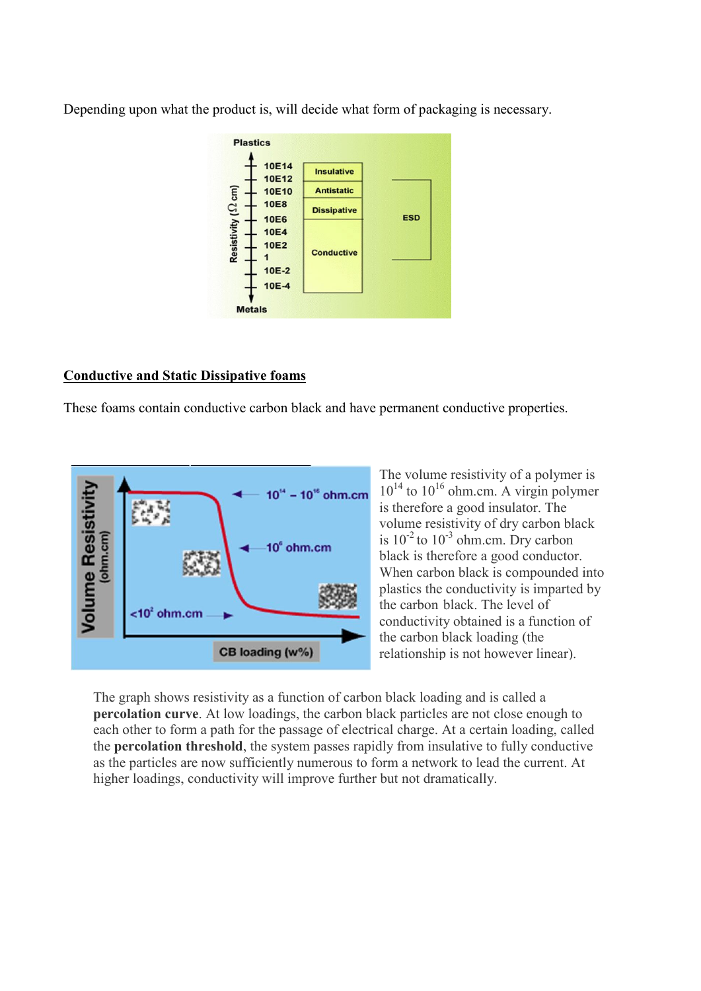Depending upon what the product is, will decide what form of packaging is necessary.



### **Conductive and Static Dissipative foams**

These foams contain conductive carbon black and have permanent conductive properties.



The volume resistivity of a polymer is  $10^{14}$  to  $10^{16}$  ohm.cm. A virgin polymer is therefore a good insulator. The volume resistivity of dry carbon black is  $10^{-2}$  to  $10^{-3}$  ohm.cm. Dry carbon black is therefore a good conductor. When carbon black is compounded into plastics the conductivity is imparted by the carbon black. The level of conductivity obtained is a function of the carbon black loading (the relationship is not however linear).

The graph shows resistivity as a function of carbon black loading and is called a **percolation curve**. At low loadings, the carbon black particles are not close enough to each other to form a path for the passage of electrical charge. At a certain loading, called the **percolation threshold**, the system passes rapidly from insulative to fully conductive as the particles are now sufficiently numerous to form a network to lead the current. At higher loadings, conductivity will improve further but not dramatically.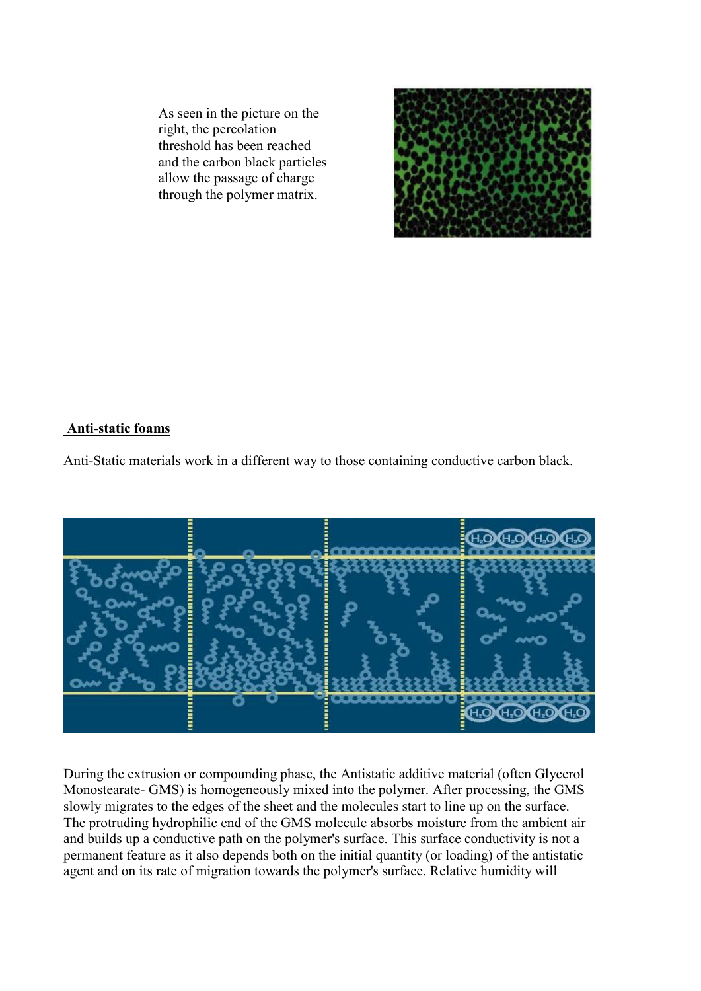As seen in the picture on the right, the percolation threshold has been reached and the carbon black particles allow the passage of charge through the polymer matrix.



## **Anti-static foams**

Anti-Static materials work in a different way to those containing conductive carbon black.



During the extrusion or compounding phase, the Antistatic additive material (often Glycerol Monostearate- GMS) is homogeneously mixed into the polymer. After processing, the GMS slowly migrates to the edges of the sheet and the molecules start to line up on the surface. The protruding hydrophilic end of the GMS molecule absorbs moisture from the ambient air and builds up a conductive path on the polymer's surface. This surface conductivity is not a permanent feature as it also depends both on the initial quantity (or loading) of the antistatic agent and on its rate of migration towards the polymer's surface. Relative humidity will